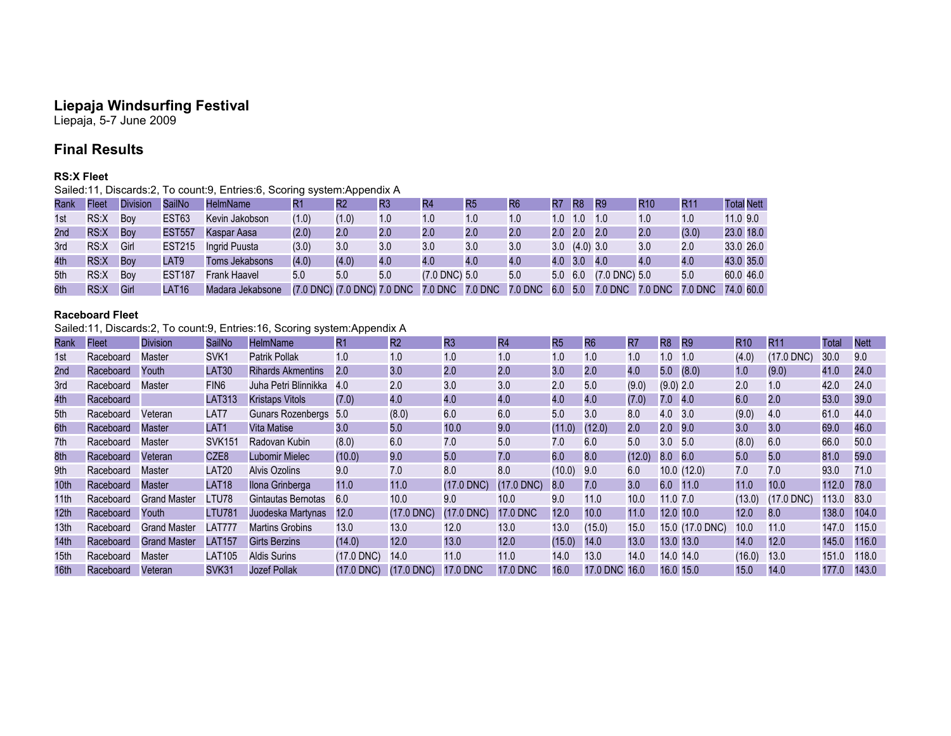## **Liepaja Windsurfing Festival**

Liepaja, 5-7 June 2009

# **Final Results**

#### **RS:X Fleet**

Sailed:11, Discards:2, To count:9, Entries:6, Scoring system:Appendix A

| Rank | Fleet | <b>Division</b> | SailNo        | <b>HelmName</b>  |       | $\mathsf{R}2$               | R3  | R4                 | R <sub>5</sub> | R <sub>6</sub> | R7      | R <sub>8</sub>      | R <sub>9</sub>     | <b>R10</b> | R1'     | <b>Total Nett</b> |
|------|-------|-----------------|---------------|------------------|-------|-----------------------------|-----|--------------------|----------------|----------------|---------|---------------------|--------------------|------------|---------|-------------------|
| 1st  | RS:X  | Bov             | EST63         | Kevin Jakobson   | (1.0) | (1.0)                       | 1.0 | 1.0                | 1.0            | 1.0            |         | $1.0 \quad 1.0$     | 1.0                | 1.0        | 1.0     | 11.0 9.0          |
| 2nd  | RS:X  | Boy             | <b>EST557</b> | Kaspar Aasa      | (2.0) | 2.0                         | 2.0 | 2.0                | 2.0            | 2.0            |         | $2.0$ 2.0           | 2.0                | 2.0        | (3.0)   | 23.0 18.0         |
| 3rd  | RS:X  | Girl            | <b>EST215</b> | Ingrid Puusta    | (3.0) | 3.0                         | 3.0 | 3.0                | 3.0            | 3.0            |         | $3.0$ $(4.0)$ $3.0$ |                    | 3.0        | 2.0     | 33.0 26.0         |
| 4th  | RS:X  | Bov             | LAT9          | Toms Jekabsons   | (4.0) | (4.0)                       | 4.0 | 4.0                | 4.0            | 4.0            | 4.0 3.0 |                     | 4.0                | 4.0        | 4.0     | 43.0 35.0         |
| 5th  | RS:X  | Bov             | <b>EST187</b> | Frank Haavel     | 5.0   | 5.0                         | 5.0 | $(7.0$ DNC $)$ 5.0 |                | 5.0            | 5.0     | 6.0                 | $(7.0$ DNC $)$ 5.0 |            | 5.0     | 60.0 46.0         |
| 6th  | RS:X  | Girl            | LAT16         | Madara Jekabsone |       | (7.0 DNC) (7.0 DNC) 7.0 DNC |     | 7.0 DNC 7.0 DNC    |                | 7.0 DNC        | 6.0     | 5.0                 | 7.0 DNC 7.0 DNC    |            | 7.0 DNC | 74.0 60.0         |

#### **Raceboard Fleet**

Sailed:11, Discards:2, To count:9, Entries:16, Scoring system:Appendix A

| Rank             | <b>Fleet</b> | <b>Division</b>     | SailNo        | <b>HelmName</b>          | R1           | R2         | R <sub>3</sub> | R4              | R <sub>5</sub> | R6                | R7     | R8             | R9              | <b>R10</b> | <b>R11</b>   | Total | <b>Nett</b> |
|------------------|--------------|---------------------|---------------|--------------------------|--------------|------------|----------------|-----------------|----------------|-------------------|--------|----------------|-----------------|------------|--------------|-------|-------------|
| 1st              | Raceboard    | Master              | SVK1          | Patrik Pollak            | 1.0          | 1.0        | 1.0            | 1.0             | 1.0            | 1.0               | 1.0    | 1.0            | 1.0             | (4.0)      | (17.0 DNC)   | 30.0  | 9.0         |
| 2nd              | Raceboard    | Youth               | LAT30         | <b>Rihards Akmentins</b> | 2.0          | 3.0        | 2.0            | 2.0             | 3.0            | 2.0               | 4.0    | 5.0            | (8.0)           | 1.0        | (9.0)        | 41.0  | 24.0        |
| 3rd              | Raceboard    | <b>Master</b>       | FIN6          | Juha Petri Blinnikka     | -4.0         | 2.0        | 3.0            | 3.0             | 2.0            | 5.0               | (9.0)  | (9.0) 2.0      |                 | 2.0        | 1.0          | 42.0  | 24.0        |
| 4th              | Raceboard    |                     | <b>LAT313</b> | <b>Kristaps Vitols</b>   | (7.0)        | 4.0        | 4.0            | 4.0             | 4.0            | 4.0               | (7.0)  | $7.0$ 4.0      |                 | 6.0        | 2.0          | 53.0  | 39.0        |
| 5th              | Raceboard    | Veteran             | LAT7          | <b>Gunars Rozenbergs</b> | 5.0          | (8.0)      | 6.0            | 6.0             | 5.0            | 3.0               | 8.0    | 4.0 3.0        |                 | (9.0)      | 4.0          | 61.0  | 44.0        |
| 6th              | Raceboard    | <b>Master</b>       | LAT1          | Vita Matise              | $3.0\,$      | 5.0        | 10.0           | 9.0             | (11.0)         | (12.0)            | 2.0    | $2.0$ 9.0      |                 | 3.0        | 3.0          | 69.0  | 46.0        |
| 7th              | Raceboard    | Master              | <b>SVK151</b> | Radovan Kubin            | (8.0)        | 6.0        | 7.0            | 5.0             | 7.0            | 6.0               | 5.0    | 3.0            | 5.0             | (8.0)      | 6.0          | 66.0  | 50.0        |
| 8th              | Raceboard    | Veteran             | CZE8          | Lubomir Mielec           | (10.0)       | 9.0        | 5.0            | 7.0             | 6.0            | 8.0               | (12.0) | $8.0\quad 6.0$ |                 | 5.0        | 5.0          | 81.0  | 59.0        |
| 9th              | Raceboard    | Master              | <b>LAT20</b>  | Alvis Ozolins            | 9.0          | 7.0        | 8.0            | 8.0             | (10.0)         | 9.0               | 6.0    |                | 10.0(12.0)      | 7.0        | 7.0          | 93.0  | 71.0        |
| 10 <sub>th</sub> | Raceboard    | <b>Master</b>       | LAT18         | Ilona Grinberga          | 11.0         | 11.0       | $(17.0$ DNC)   | $(17.0$ DNC)    | 8.0            | 7.0               | 3.0    | 6.0 11.0       |                 | 11.0       | 10.0         | 112.0 | 78.0        |
| 11th             | Raceboard    | <b>Grand Master</b> | LTU78         | Gintautas Bernotas       | 6.0          | 10.0       | 9.0            | 10.0            | 9.0            | 11.0              | 10.0   | 11.0 7.0       |                 | (13.0)     | $(17.0$ DNC) | 113.0 | 83.0        |
| 12 <sub>th</sub> | Raceboard    | Youth               | <b>LTU781</b> | Juodeska Martynas        | 12.0         | (17.0 DNC) | $(17.0$ DNC)   | <b>17.0 DNC</b> | 12.0           | 10.0 <sub>1</sub> | 11.0   | 12.0 10.0      |                 | 12.0       | 8.0          | 138.0 | 104.0       |
| 13 <sub>th</sub> | Raceboard    | <b>Grand Master</b> | LAT777        | <b>Martins Grobins</b>   | 13.0         | 13.0       | 12.0           | 13.0            | 13.0           | (15.0)            | 15.0   |                | 15.0 (17.0 DNC) | 10.0       | 11.0         | 147.0 | 115.0       |
| 14th             | Raceboard    | <b>Grand Master</b> | <b>LAT157</b> | Girts Berzins            | (14.0)       | 12.0       | 13.0           | 12.0            | (15.0)         | 14.0              | 13.0   | 13.0 13.0      |                 | 14.0       | 12.0         | 145.0 | 116.0       |
| 15 <sub>th</sub> | Raceboard    | Master              | LAT105        | <b>Aldis Surins</b>      | $(17.0$ DNC) | 14.0       | 11.0           | 11.0            | 14.0           | 13.0              | 14.0   |                | 14.0 14.0       | (16.0)     | 13.0         | 151.0 | 118.0       |
| 16 <sub>th</sub> | Raceboard    | Veteran             | <b>SVK31</b>  | Jozef Pollak             | (17.0 DNC)   | (17.0 DNC) | 17.0 DNC       | <b>17.0 DNC</b> | 16.0           | 17.0 DNC 16.0     |        | 16.0 15.0      |                 | 15.0       | 14.0         | 177.0 | 143.0       |